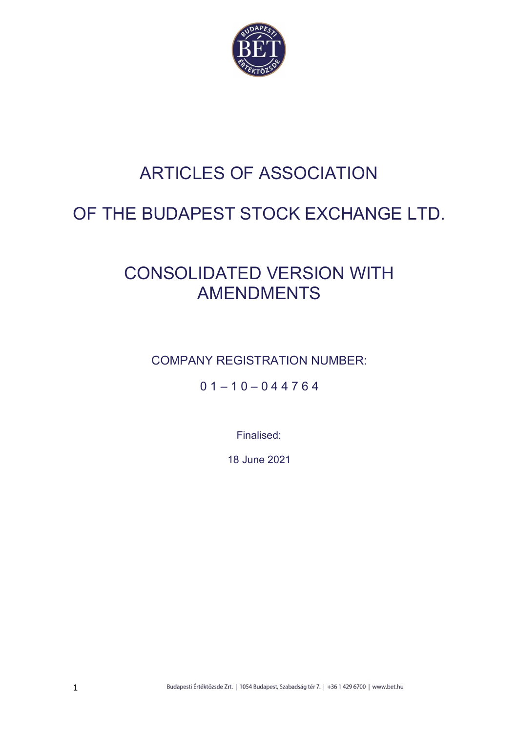

# ARTICLES OF ASSOCIATION

# OF THE BUDAPEST STOCK EXCHANGE LTD.

# CONSOLIDATED VERSION WITH AMENDMENTS

COMPANY REGISTRATION NUMBER:

 $01 - 10 - 044764$ 

Finalised:

18 June 2021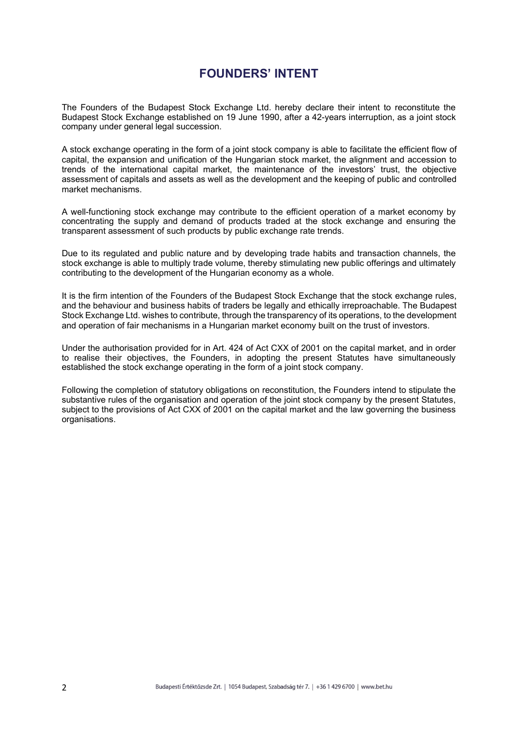# FOUNDERS' INTENT

The Founders of the Budapest Stock Exchange Ltd. hereby declare their intent to reconstitute the Budapest Stock Exchange established on 19 June 1990, after a 42-years interruption, as a joint stock company under general legal succession.

A stock exchange operating in the form of a joint stock company is able to facilitate the efficient flow of capital, the expansion and unification of the Hungarian stock market, the alignment and accession to trends of the international capital market, the maintenance of the investors' trust, the objective assessment of capitals and assets as well as the development and the keeping of public and controlled market mechanisms.

A well-functioning stock exchange may contribute to the efficient operation of a market economy by concentrating the supply and demand of products traded at the stock exchange and ensuring the transparent assessment of such products by public exchange rate trends.

Due to its regulated and public nature and by developing trade habits and transaction channels, the stock exchange is able to multiply trade volume, thereby stimulating new public offerings and ultimately contributing to the development of the Hungarian economy as a whole.

It is the firm intention of the Founders of the Budapest Stock Exchange that the stock exchange rules, and the behaviour and business habits of traders be legally and ethically irreproachable. The Budapest Stock Exchange Ltd. wishes to contribute, through the transparency of its operations, to the development and operation of fair mechanisms in a Hungarian market economy built on the trust of investors.

Under the authorisation provided for in Art. 424 of Act CXX of 2001 on the capital market, and in order to realise their objectives, the Founders, in adopting the present Statutes have simultaneously established the stock exchange operating in the form of a joint stock company.

Following the completion of statutory obligations on reconstitution, the Founders intend to stipulate the substantive rules of the organisation and operation of the joint stock company by the present Statutes, subject to the provisions of Act CXX of 2001 on the capital market and the law governing the business organisations.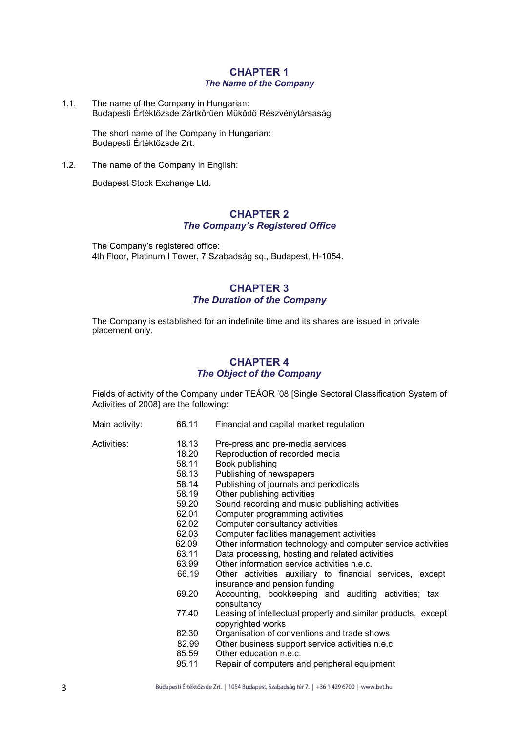## CHAPTER 1 The Name of the Company

1.1. The name of the Company in Hungarian: Budapesti Értéktőzsde Zártkörűen Működő Részvénytársaság

> The short name of the Company in Hungarian: Budapesti Értéktőzsde Zrt.

1.2. The name of the Company in English:

Budapest Stock Exchange Ltd.

# CHAPTER 2 The Company's Registered Office

The Company's registered office: 4th Floor, Platinum I Tower, 7 Szabadság sq., Budapest, H-1054.

# CHAPTER 3 The Duration of the Company

The Company is established for an indefinite time and its shares are issued in private placement only.

# CHAPTER 4 The Object of the Company

Fields of activity of the Company under TEÁOR '08 [Single Sectoral Classification System of Activities of 2008] are the following:

- 
- Main activity: 66.11 Financial and capital market regulation

- Activities: 18.13 Pre-press and pre-media services
	- 18.20 Reproduction of recorded media
		- 58.11 Book publishing
		- 58.13 Publishing of newspapers<br>58.14 Publishing of journals and
	- Publishing of journals and periodicals
	- 58.19 Other publishing activities
	- 59.20 Sound recording and music publishing activities
	- 62.01 Computer programming activities
	- 62.02 Computer consultancy activities
	- 62.03 Computer facilities management activities
	- 62.09 Other information technology and computer service activities
	- 63.11 Data processing, hosting and related activities
	- 63.99 Other information service activities n.e.c.
	- 66.19 Other activities auxiliary to financial services, except insurance and pension funding
	- 69.20 Accounting, bookkeeping and auditing activities; tax consultancy
	- 77.40 Leasing of intellectual property and similar products, except copyrighted works
	- 82.30 Organisation of conventions and trade shows<br>82.99 Other business support service activities n.e.c
	- Other business support service activities n.e.c.
	- 85.59 Other education n.e.c.
	- 95.11 Repair of computers and peripheral equipment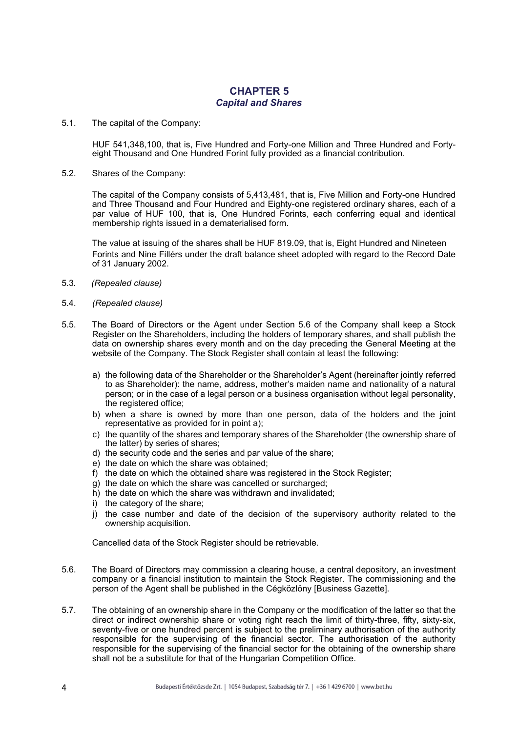# CHAPTER 5 Capital and Shares

5.1. The capital of the Company:

HUF 541,348,100, that is, Five Hundred and Forty-one Million and Three Hundred and Fortyeight Thousand and One Hundred Forint fully provided as a financial contribution.

5.2. Shares of the Company:

The capital of the Company consists of 5,413,481, that is, Five Million and Forty-one Hundred and Three Thousand and Four Hundred and Eighty-one registered ordinary shares, each of a par value of HUF 100, that is, One Hundred Forints, each conferring equal and identical membership rights issued in a dematerialised form.

The value at issuing of the shares shall be HUF 819.09, that is, Eight Hundred and Nineteen Forints and Nine Fillérs under the draft balance sheet adopted with regard to the Record Date of 31 January 2002.

- 5.3. (Repealed clause)
- 5.4. (Repealed clause)
- 5.5. The Board of Directors or the Agent under Section 5.6 of the Company shall keep a Stock Register on the Shareholders, including the holders of temporary shares, and shall publish the data on ownership shares every month and on the day preceding the General Meeting at the website of the Company. The Stock Register shall contain at least the following:
	- a) the following data of the Shareholder or the Shareholder's Agent (hereinafter jointly referred to as Shareholder): the name, address, mother's maiden name and nationality of a natural person; or in the case of a legal person or a business organisation without legal personality, the registered office;
	- b) when a share is owned by more than one person, data of the holders and the joint representative as provided for in point a);
	- c) the quantity of the shares and temporary shares of the Shareholder (the ownership share of the latter) by series of shares;
	- d) the security code and the series and par value of the share;
	- e) the date on which the share was obtained;
	- f) the date on which the obtained share was registered in the Stock Register;
	- g) the date on which the share was cancelled or surcharged;
	- h) the date on which the share was withdrawn and invalidated;
	- i) the category of the share;
	- j) the case number and date of the decision of the supervisory authority related to the ownership acquisition.

Cancelled data of the Stock Register should be retrievable.

- 5.6. The Board of Directors may commission a clearing house, a central depository, an investment company or a financial institution to maintain the Stock Register. The commissioning and the person of the Agent shall be published in the Cégközlöny [Business Gazette].
- 5.7. The obtaining of an ownership share in the Company or the modification of the latter so that the direct or indirect ownership share or voting right reach the limit of thirty-three, fifty, sixty-six, seventy-five or one hundred percent is subject to the preliminary authorisation of the authority responsible for the supervising of the financial sector. The authorisation of the authority responsible for the supervising of the financial sector for the obtaining of the ownership share shall not be a substitute for that of the Hungarian Competition Office.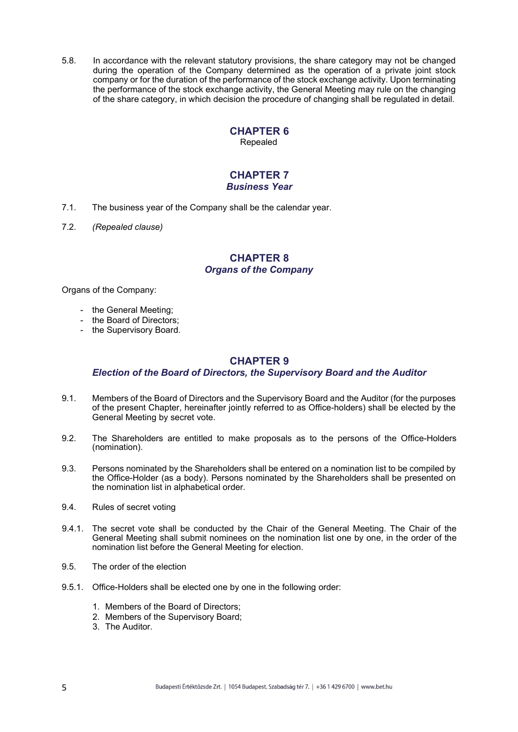5.8. In accordance with the relevant statutory provisions, the share category may not be changed during the operation of the Company determined as the operation of a private joint stock company or for the duration of the performance of the stock exchange activity. Upon terminating the performance of the stock exchange activity, the General Meeting may rule on the changing of the share category, in which decision the procedure of changing shall be regulated in detail.

# CHAPTER 6

Repealed

#### CHAPTER 7 Business Year

- 7.1. The business year of the Company shall be the calendar year.
- 7.2. (Repealed clause)

# CHAPTER 8 Organs of the Company

Organs of the Company:

- the General Meeting;
- the Board of Directors;
- the Supervisory Board.

# CHAPTER 9

### Election of the Board of Directors, the Supervisory Board and the Auditor

- 9.1. Members of the Board of Directors and the Supervisory Board and the Auditor (for the purposes of the present Chapter, hereinafter jointly referred to as Office-holders) shall be elected by the General Meeting by secret vote.
- 9.2. The Shareholders are entitled to make proposals as to the persons of the Office-Holders (nomination).
- 9.3. Persons nominated by the Shareholders shall be entered on a nomination list to be compiled by the Office-Holder (as a body). Persons nominated by the Shareholders shall be presented on the nomination list in alphabetical order.
- 9.4. Rules of secret voting
- 9.4.1. The secret vote shall be conducted by the Chair of the General Meeting. The Chair of the General Meeting shall submit nominees on the nomination list one by one, in the order of the nomination list before the General Meeting for election.
- 9.5. The order of the election
- 9.5.1. Office-Holders shall be elected one by one in the following order:
	- 1. Members of the Board of Directors;
	- 2. Members of the Supervisory Board;
	- 3. The Auditor.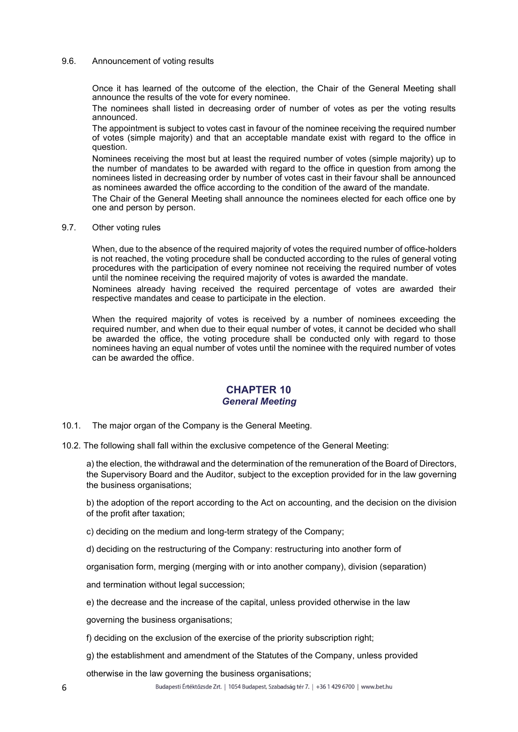#### 9.6. Announcement of voting results

Once it has learned of the outcome of the election, the Chair of the General Meeting shall announce the results of the vote for every nominee.

The nominees shall listed in decreasing order of number of votes as per the voting results announced.

The appointment is subject to votes cast in favour of the nominee receiving the required number of votes (simple majority) and that an acceptable mandate exist with regard to the office in question.

Nominees receiving the most but at least the required number of votes (simple majority) up to the number of mandates to be awarded with regard to the office in question from among the nominees listed in decreasing order by number of votes cast in their favour shall be announced as nominees awarded the office according to the condition of the award of the mandate.

The Chair of the General Meeting shall announce the nominees elected for each office one by one and person by person.

9.7. Other voting rules

When, due to the absence of the required majority of votes the required number of office-holders is not reached, the voting procedure shall be conducted according to the rules of general voting procedures with the participation of every nominee not receiving the required number of votes until the nominee receiving the required majority of votes is awarded the mandate.

Nominees already having received the required percentage of votes are awarded their respective mandates and cease to participate in the election.

When the required majority of votes is received by a number of nominees exceeding the required number, and when due to their equal number of votes, it cannot be decided who shall be awarded the office, the voting procedure shall be conducted only with regard to those nominees having an equal number of votes until the nominee with the required number of votes can be awarded the office.

# CHAPTER 10 General Meeting

- 10.1. The major organ of the Company is the General Meeting.
- 10.2. The following shall fall within the exclusive competence of the General Meeting:

a) the election, the withdrawal and the determination of the remuneration of the Board of Directors, the Supervisory Board and the Auditor, subject to the exception provided for in the law governing the business organisations;

b) the adoption of the report according to the Act on accounting, and the decision on the division of the profit after taxation;

- c) deciding on the medium and long-term strategy of the Company;
- d) deciding on the restructuring of the Company: restructuring into another form of

organisation form, merging (merging with or into another company), division (separation)

and termination without legal succession;

e) the decrease and the increase of the capital, unless provided otherwise in the law

governing the business organisations;

f) deciding on the exclusion of the exercise of the priority subscription right;

g) the establishment and amendment of the Statutes of the Company, unless provided

otherwise in the law governing the business organisations;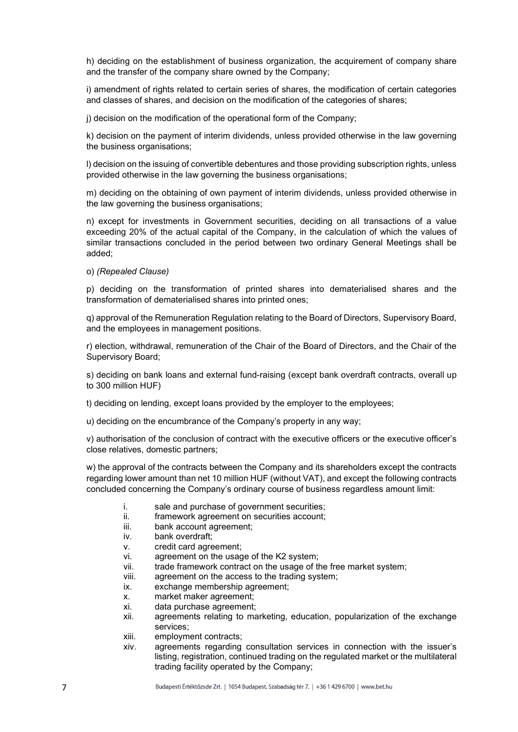h) deciding on the establishment of business organization, the acquirement of company share and the transfer of the company share owned by the Company;

i) amendment of rights related to certain series of shares, the modification of certain categories and classes of shares, and decision on the modification of the categories of shares;

j) decision on the modification of the operational form of the Company;

k) decision on the payment of interim dividends, unless provided otherwise in the law governing the business organisations;

l) decision on the issuing of convertible debentures and those providing subscription rights, unless provided otherwise in the law governing the business organisations;

m) deciding on the obtaining of own payment of interim dividends, unless provided otherwise in the law governing the business organisations;

n) except for investments in Government securities, deciding on all transactions of a value exceeding 20% of the actual capital of the Company, in the calculation of which the values of similar transactions concluded in the period between two ordinary General Meetings shall be added;

o) (Repealed Clause)

p) deciding on the transformation of printed shares into dematerialised shares and the transformation of dematerialised shares into printed ones;

q) approval of the Remuneration Regulation relating to the Board of Directors, Supervisory Board, and the employees in management positions.

r) election, withdrawal, remuneration of the Chair of the Board of Directors, and the Chair of the Supervisory Board;

s) deciding on bank loans and external fund-raising (except bank overdraft contracts, overall up to 300 million HUF)

t) deciding on lending, except loans provided by the employer to the employees;

u) deciding on the encumbrance of the Company's property in any way;

v) authorisation of the conclusion of contract with the executive officers or the executive officer's close relatives, domestic partners;

w) the approval of the contracts between the Company and its shareholders except the contracts regarding lower amount than net 10 million HUF (without VAT), and except the following contracts concluded concerning the Company's ordinary course of business regardless amount limit:

- i. sale and purchase of government securities;
- ii. framework agreement on securities account;
- iii. bank account agreement;
- iv. bank overdraft;
- v. credit card agreement;
- vi. agreement on the usage of the K2 system;
- vii. trade framework contract on the usage of the free market system;
- viii. agreement on the access to the trading system;
- ix. exchange membership agreement;
- x. market maker agreement;
- xi. data purchase agreement;
- xii. agreements relating to marketing, education, popularization of the exchange services;
- xiii. employment contracts;
- xiv. agreements regarding consultation services in connection with the issuer's listing, registration, continued trading on the regulated market or the multilateral trading facility operated by the Company;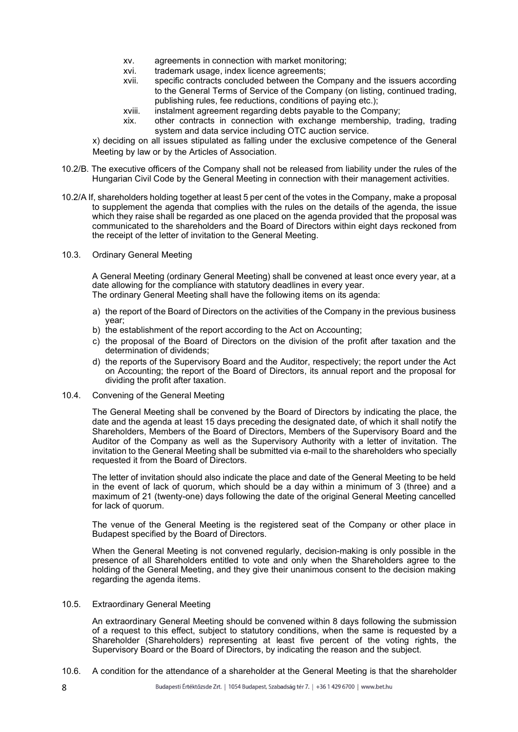- xv. agreements in connection with market monitoring;
- xvi. trademark usage, index licence agreements;
- xvii. specific contracts concluded between the Company and the issuers according to the General Terms of Service of the Company (on listing, continued trading, publishing rules, fee reductions, conditions of paying etc.);
- xviii. instalment agreement regarding debts payable to the Company;
- xix. other contracts in connection with exchange membership, trading, trading system and data service including OTC auction service.

x) deciding on all issues stipulated as falling under the exclusive competence of the General Meeting by law or by the Articles of Association.

- 10.2/B. The executive officers of the Company shall not be released from liability under the rules of the Hungarian Civil Code by the General Meeting in connection with their management activities.
- 10.2/A If, shareholders holding together at least 5 per cent of the votes in the Company, make a proposal to supplement the agenda that complies with the rules on the details of the agenda, the issue which they raise shall be regarded as one placed on the agenda provided that the proposal was communicated to the shareholders and the Board of Directors within eight days reckoned from the receipt of the letter of invitation to the General Meeting.
- 10.3. Ordinary General Meeting

A General Meeting (ordinary General Meeting) shall be convened at least once every year, at a date allowing for the compliance with statutory deadlines in every year. The ordinary General Meeting shall have the following items on its agenda:

- a) the report of the Board of Directors on the activities of the Company in the previous business year;
- b) the establishment of the report according to the Act on Accounting;
- c) the proposal of the Board of Directors on the division of the profit after taxation and the determination of dividends;
- d) the reports of the Supervisory Board and the Auditor, respectively; the report under the Act on Accounting; the report of the Board of Directors, its annual report and the proposal for dividing the profit after taxation.
- 10.4. Convening of the General Meeting

The General Meeting shall be convened by the Board of Directors by indicating the place, the date and the agenda at least 15 days preceding the designated date, of which it shall notify the Shareholders, Members of the Board of Directors, Members of the Supervisory Board and the Auditor of the Company as well as the Supervisory Authority with a letter of invitation. The invitation to the General Meeting shall be submitted via e-mail to the shareholders who specially requested it from the Board of Directors.

The letter of invitation should also indicate the place and date of the General Meeting to be held in the event of lack of quorum, which should be a day within a minimum of 3 (three) and a maximum of 21 (twenty-one) days following the date of the original General Meeting cancelled for lack of quorum.

The venue of the General Meeting is the registered seat of the Company or other place in Budapest specified by the Board of Directors.

When the General Meeting is not convened regularly, decision-making is only possible in the presence of all Shareholders entitled to vote and only when the Shareholders agree to the holding of the General Meeting, and they give their unanimous consent to the decision making regarding the agenda items.

10.5. Extraordinary General Meeting

An extraordinary General Meeting should be convened within 8 days following the submission of a request to this effect, subject to statutory conditions, when the same is requested by a Shareholder (Shareholders) representing at least five percent of the voting rights, the Supervisory Board or the Board of Directors, by indicating the reason and the subject.

10.6. A condition for the attendance of a shareholder at the General Meeting is that the shareholder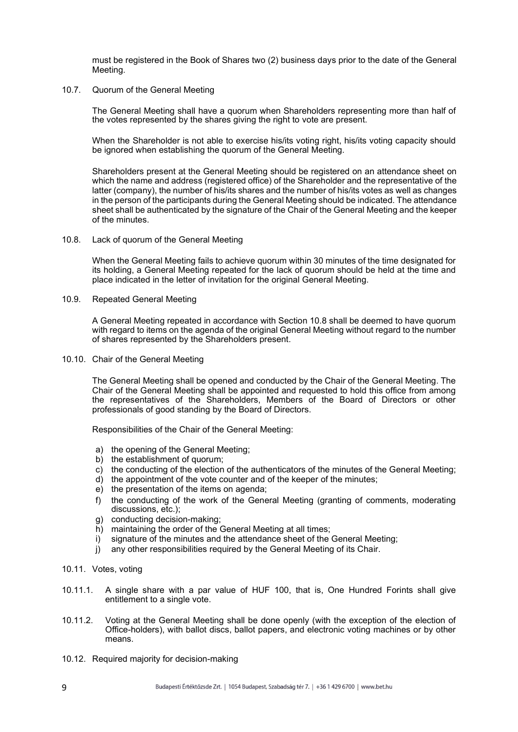must be registered in the Book of Shares two (2) business days prior to the date of the General Meeting.

#### 10.7. Quorum of the General Meeting

The General Meeting shall have a quorum when Shareholders representing more than half of the votes represented by the shares giving the right to vote are present.

When the Shareholder is not able to exercise his/its voting right, his/its voting capacity should be ignored when establishing the quorum of the General Meeting.

Shareholders present at the General Meeting should be registered on an attendance sheet on which the name and address (registered office) of the Shareholder and the representative of the latter (company), the number of his/its shares and the number of his/its votes as well as changes in the person of the participants during the General Meeting should be indicated. The attendance sheet shall be authenticated by the signature of the Chair of the General Meeting and the keeper of the minutes.

10.8. Lack of quorum of the General Meeting

When the General Meeting fails to achieve quorum within 30 minutes of the time designated for its holding, a General Meeting repeated for the lack of quorum should be held at the time and place indicated in the letter of invitation for the original General Meeting.

10.9. Repeated General Meeting

A General Meeting repeated in accordance with Section 10.8 shall be deemed to have quorum with regard to items on the agenda of the original General Meeting without regard to the number of shares represented by the Shareholders present.

10.10. Chair of the General Meeting

The General Meeting shall be opened and conducted by the Chair of the General Meeting. The Chair of the General Meeting shall be appointed and requested to hold this office from among the representatives of the Shareholders, Members of the Board of Directors or other professionals of good standing by the Board of Directors.

Responsibilities of the Chair of the General Meeting:

- a) the opening of the General Meeting;
- b) the establishment of quorum;
- c) the conducting of the election of the authenticators of the minutes of the General Meeting;
- d) the appointment of the vote counter and of the keeper of the minutes;
- e) the presentation of the items on agenda;
- f) the conducting of the work of the General Meeting (granting of comments, moderating discussions, etc.);
- g) conducting decision-making;
- h) maintaining the order of the General Meeting at all times:
- i) signature of the minutes and the attendance sheet of the General Meeting;
- j) any other responsibilities required by the General Meeting of its Chair.
- 10.11. Votes, voting
- 10.11.1. A single share with a par value of HUF 100, that is, One Hundred Forints shall give entitlement to a single vote.
- 10.11.2. Voting at the General Meeting shall be done openly (with the exception of the election of Office-holders), with ballot discs, ballot papers, and electronic voting machines or by other means.
- 10.12. Required majority for decision-making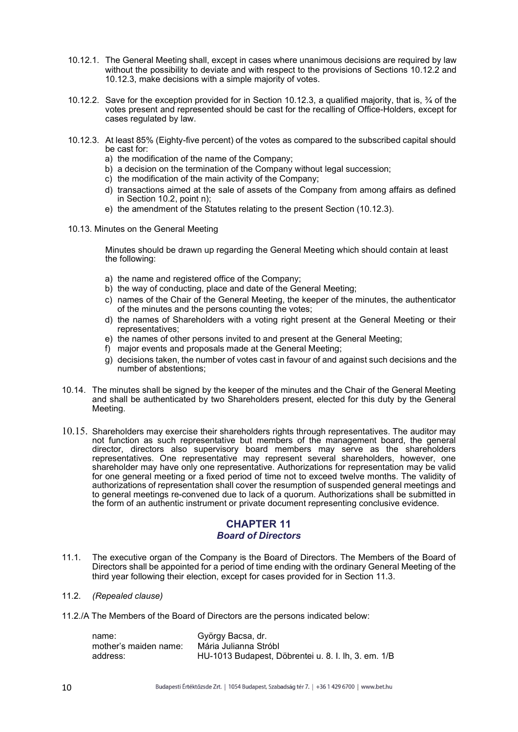- 10.12.1. The General Meeting shall, except in cases where unanimous decisions are required by law without the possibility to deviate and with respect to the provisions of Sections 10.12.2 and 10.12.3, make decisions with a simple majority of votes.
- 10.12.2. Save for the exception provided for in Section 10.12.3, a qualified majority, that is, ¾ of the votes present and represented should be cast for the recalling of Office-Holders, except for cases regulated by law.
- 10.12.3. At least 85% (Eighty-five percent) of the votes as compared to the subscribed capital should be cast for:
	- a) the modification of the name of the Company;
	- b) a decision on the termination of the Company without legal succession;
	- c) the modification of the main activity of the Company;
	- d) transactions aimed at the sale of assets of the Company from among affairs as defined in Section 10.2, point n);
	- e) the amendment of the Statutes relating to the present Section (10.12.3).
- 10.13. Minutes on the General Meeting

Minutes should be drawn up regarding the General Meeting which should contain at least the following:

- a) the name and registered office of the Company;
- b) the way of conducting, place and date of the General Meeting;
- c) names of the Chair of the General Meeting, the keeper of the minutes, the authenticator of the minutes and the persons counting the votes;
- d) the names of Shareholders with a voting right present at the General Meeting or their representatives;
- e) the names of other persons invited to and present at the General Meeting;
- f) major events and proposals made at the General Meeting;
- g) decisions taken, the number of votes cast in favour of and against such decisions and the number of abstentions;
- 10.14. The minutes shall be signed by the keeper of the minutes and the Chair of the General Meeting and shall be authenticated by two Shareholders present, elected for this duty by the General Meeting.
- 10.15. Shareholders may exercise their shareholders rights through representatives. The auditor may not function as such representative but members of the management board, the general director, directors also supervisory board members may serve as the shareholders representatives. One representative may represent several shareholders, however, one shareholder may have only one representative. Authorizations for representation may be valid for one general meeting or a fixed period of time not to exceed twelve months. The validity of authorizations of representation shall cover the resumption of suspended general meetings and to general meetings re-convened due to lack of a quorum. Authorizations shall be submitted in the form of an authentic instrument or private document representing conclusive evidence.

# CHAPTER 11 Board of Directors

- 11.1. The executive organ of the Company is the Board of Directors. The Members of the Board of Directors shall be appointed for a period of time ending with the ordinary General Meeting of the third year following their election, except for cases provided for in Section 11.3.
- 11.2. (Repealed clause)
- 11.2./A The Members of the Board of Directors are the persons indicated below:

| name:                 | György Bacsa, dr.                                   |
|-----------------------|-----------------------------------------------------|
| mother's maiden name: | Mária Julianna Stróbl                               |
| address:              | HU-1013 Budapest, Döbrentei u. 8. I. lh, 3. em. 1/B |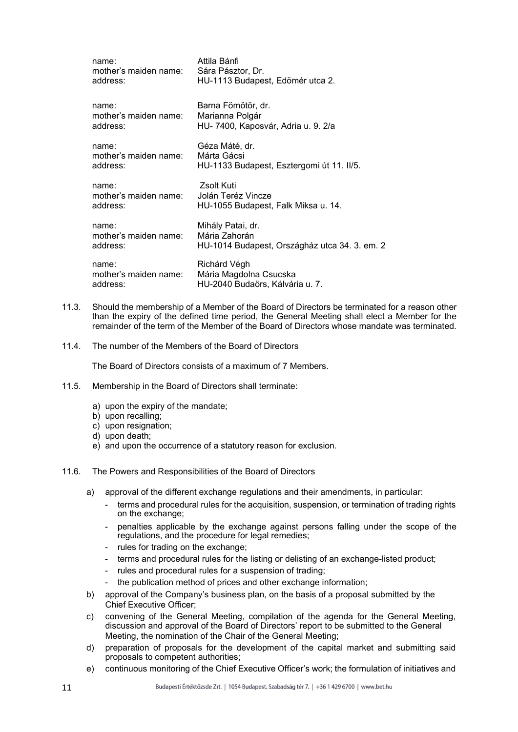| name:                 | Attila Bánfi                                  |
|-----------------------|-----------------------------------------------|
| mother's maiden name: | Sára Pásztor, Dr.                             |
| address:              | HU-1113 Budapest, Edömér utca 2.              |
| name:                 | Barna Fömötör, dr.                            |
| mother's maiden name: | Marianna Polgár                               |
| address:              | HU-7400, Kaposvár, Adria u. 9. 2/a            |
| name:                 | Géza Máté, dr.                                |
| mother's maiden name: | Márta Gácsi                                   |
| address:              | HU-1133 Budapest, Esztergomi út 11. II/5.     |
| name:                 | Zsolt Kuti                                    |
| mother's maiden name: | Jolán Teréz Vincze                            |
| address:              | HU-1055 Budapest, Falk Miksa u. 14.           |
| name:                 | Mihály Patai, dr.                             |
| mother's maiden name: | Mária Zahorán                                 |
| address:              | HU-1014 Budapest, Országház utca 34. 3. em. 2 |
| name:                 | Richárd Végh                                  |
| mother's maiden name: | Mária Magdolna Csucska                        |
| address:              | HU-2040 Budaörs, Kálvária u. 7.               |

- 11.3. Should the membership of a Member of the Board of Directors be terminated for a reason other than the expiry of the defined time period, the General Meeting shall elect a Member for the remainder of the term of the Member of the Board of Directors whose mandate was terminated.
- 11.4. The number of the Members of the Board of Directors

The Board of Directors consists of a maximum of 7 Members.

- 11.5. Membership in the Board of Directors shall terminate:
	- a) upon the expiry of the mandate;
	- b) upon recalling;
	- c) upon resignation;
	- d) upon death;
	- e) and upon the occurrence of a statutory reason for exclusion.
- 11.6. The Powers and Responsibilities of the Board of Directors
	- a) approval of the different exchange regulations and their amendments, in particular:
		- terms and procedural rules for the acquisition, suspension, or termination of trading rights on the exchange;
		- penalties applicable by the exchange against persons falling under the scope of the regulations, and the procedure for legal remedies;
		- rules for trading on the exchange;
		- terms and procedural rules for the listing or delisting of an exchange-listed product;
		- rules and procedural rules for a suspension of trading;
		- the publication method of prices and other exchange information;
	- b) approval of the Company's business plan, on the basis of a proposal submitted by the Chief Executive Officer;
	- c) convening of the General Meeting, compilation of the agenda for the General Meeting, discussion and approval of the Board of Directors' report to be submitted to the General Meeting, the nomination of the Chair of the General Meeting;
	- d) preparation of proposals for the development of the capital market and submitting said proposals to competent authorities;
	- e) continuous monitoring of the Chief Executive Officer's work; the formulation of initiatives and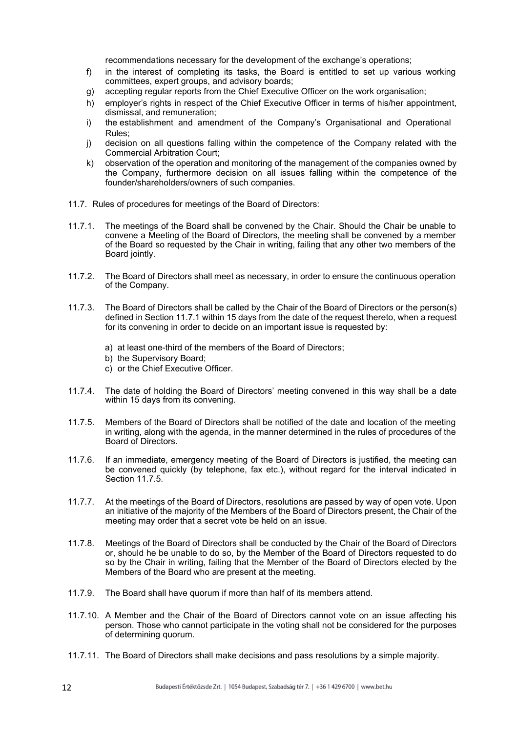recommendations necessary for the development of the exchange's operations;

- f) in the interest of completing its tasks, the Board is entitled to set up various working committees, expert groups, and advisory boards;
- g) accepting regular reports from the Chief Executive Officer on the work organisation;
- h) employer's rights in respect of the Chief Executive Officer in terms of his/her appointment. dismissal, and remuneration;
- i) the establishment and amendment of the Company's Organisational and Operational Rules;
- j) decision on all questions falling within the competence of the Company related with the Commercial Arbitration Court;
- k) observation of the operation and monitoring of the management of the companies owned by the Company, furthermore decision on all issues falling within the competence of the founder/shareholders/owners of such companies.
- 11.7. Rules of procedures for meetings of the Board of Directors:
- 11.7.1. The meetings of the Board shall be convened by the Chair. Should the Chair be unable to convene a Meeting of the Board of Directors, the meeting shall be convened by a member of the Board so requested by the Chair in writing, failing that any other two members of the Board jointly.
- 11.7.2. The Board of Directors shall meet as necessary, in order to ensure the continuous operation of the Company.
- 11.7.3. The Board of Directors shall be called by the Chair of the Board of Directors or the person(s) defined in Section 11.7.1 within 15 days from the date of the request thereto, when a request for its convening in order to decide on an important issue is requested by:
	- a) at least one-third of the members of the Board of Directors;
	- b) the Supervisory Board;
	- c) or the Chief Executive Officer.
- 11.7.4. The date of holding the Board of Directors' meeting convened in this way shall be a date within 15 days from its convening.
- 11.7.5. Members of the Board of Directors shall be notified of the date and location of the meeting in writing, along with the agenda, in the manner determined in the rules of procedures of the Board of Directors.
- 11.7.6. If an immediate, emergency meeting of the Board of Directors is justified, the meeting can be convened quickly (by telephone, fax etc.), without regard for the interval indicated in Section 11.7.5.
- 11.7.7. At the meetings of the Board of Directors, resolutions are passed by way of open vote. Upon an initiative of the majority of the Members of the Board of Directors present, the Chair of the meeting may order that a secret vote be held on an issue.
- 11.7.8. Meetings of the Board of Directors shall be conducted by the Chair of the Board of Directors or, should he be unable to do so, by the Member of the Board of Directors requested to do so by the Chair in writing, failing that the Member of the Board of Directors elected by the Members of the Board who are present at the meeting.
- 11.7.9. The Board shall have quorum if more than half of its members attend.
- 11.7.10. A Member and the Chair of the Board of Directors cannot vote on an issue affecting his person. Those who cannot participate in the voting shall not be considered for the purposes of determining quorum.
- 11.7.11. The Board of Directors shall make decisions and pass resolutions by a simple majority.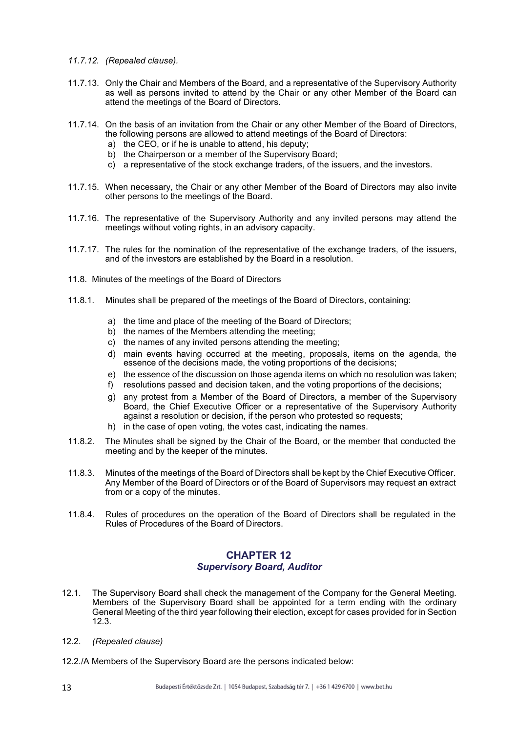- 11.7.12. (Repealed clause).
- 11.7.13. Only the Chair and Members of the Board, and a representative of the Supervisory Authority as well as persons invited to attend by the Chair or any other Member of the Board can attend the meetings of the Board of Directors.
- 11.7.14. On the basis of an invitation from the Chair or any other Member of the Board of Directors, the following persons are allowed to attend meetings of the Board of Directors:
	- a) the CEO, or if he is unable to attend, his deputy;
	- b) the Chairperson or a member of the Supervisory Board;
	- c) a representative of the stock exchange traders, of the issuers, and the investors.
- 11.7.15. When necessary, the Chair or any other Member of the Board of Directors may also invite other persons to the meetings of the Board.
- 11.7.16. The representative of the Supervisory Authority and any invited persons may attend the meetings without voting rights, in an advisory capacity.
- 11.7.17. The rules for the nomination of the representative of the exchange traders, of the issuers, and of the investors are established by the Board in a resolution.
- 11.8. Minutes of the meetings of the Board of Directors
- 11.8.1. Minutes shall be prepared of the meetings of the Board of Directors, containing:
	- a) the time and place of the meeting of the Board of Directors;
	- b) the names of the Members attending the meeting:
	- c) the names of any invited persons attending the meeting;
	- d) main events having occurred at the meeting, proposals, items on the agenda, the essence of the decisions made, the voting proportions of the decisions;
	- e) the essence of the discussion on those agenda items on which no resolution was taken;
	- f) resolutions passed and decision taken, and the voting proportions of the decisions;
	- g) any protest from a Member of the Board of Directors, a member of the Supervisory Board, the Chief Executive Officer or a representative of the Supervisory Authority against a resolution or decision, if the person who protested so requests;
	- h) in the case of open voting, the votes cast, indicating the names.
- 11.8.2. The Minutes shall be signed by the Chair of the Board, or the member that conducted the meeting and by the keeper of the minutes.
- 11.8.3. Minutes of the meetings of the Board of Directors shall be kept by the Chief Executive Officer. Any Member of the Board of Directors or of the Board of Supervisors may request an extract from or a copy of the minutes.
- 11.8.4. Rules of procedures on the operation of the Board of Directors shall be regulated in the Rules of Procedures of the Board of Directors.

## CHAPTER 12 Supervisory Board, Auditor

- 12.1. The Supervisory Board shall check the management of the Company for the General Meeting. Members of the Supervisory Board shall be appointed for a term ending with the ordinary General Meeting of the third year following their election, except for cases provided for in Section 12.3.
- 12.2. (Repealed clause)
- 12.2./A Members of the Supervisory Board are the persons indicated below: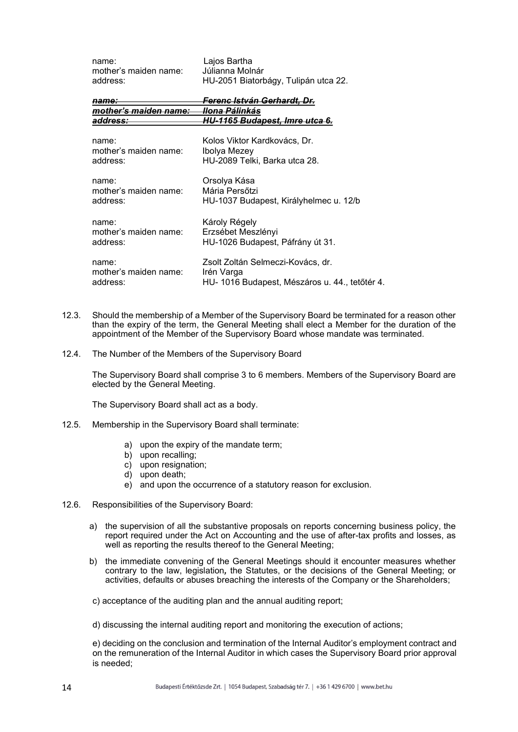| name:                  | Lajos Bartha                                   |
|------------------------|------------------------------------------------|
| mother's maiden name:  | Júlianna Molnár                                |
| address:               | HU-2051 Biatorbágy, Tulipán utca 22.           |
| <del>name:</del>       | <del>Ferenc István Gerhardt, Dr.</del>         |
| mother's maiden name:- | <del>llona Pálinkás</del>                      |
| address:               | HU-1165 Budapest, Imre utca 6.                 |
| name:                  | Kolos Viktor Kardkovács, Dr.                   |
| mother's maiden name:  | Ibolya Mezey                                   |
| address:               | HU-2089 Telki, Barka utca 28.                  |
| name:                  | Orsolya Kása                                   |
| mother's maiden name:  | Mária Persőtzi                                 |
| address:               | HU-1037 Budapest, Királyhelmec u. 12/b         |
| name:                  | Károly Régely                                  |
| mother's maiden name:  | Erzsébet Meszlényi                             |
| address:               | HU-1026 Budapest, Páfrány út 31.               |
| name:                  | Zsolt Zoltán Selmeczi-Kovács, dr.              |
| mother's maiden name:  | Irén Varga                                     |
| address:               | HU- 1016 Budapest, Mészáros u. 44., tetőtér 4. |

- 12.3. Should the membership of a Member of the Supervisory Board be terminated for a reason other than the expiry of the term, the General Meeting shall elect a Member for the duration of the appointment of the Member of the Supervisory Board whose mandate was terminated.
- 12.4. The Number of the Members of the Supervisory Board

The Supervisory Board shall comprise 3 to 6 members. Members of the Supervisory Board are elected by the General Meeting.

The Supervisory Board shall act as a body.

- 12.5. Membership in the Supervisory Board shall terminate:
	- a) upon the expiry of the mandate term;
	- b) upon recalling;
	- c) upon resignation;
	- d) upon death;
	- e) and upon the occurrence of a statutory reason for exclusion.
- 12.6. Responsibilities of the Supervisory Board:
	- a) the supervision of all the substantive proposals on reports concerning business policy, the report required under the Act on Accounting and the use of after-tax profits and losses, as well as reporting the results thereof to the General Meeting;
	- b) the immediate convening of the General Meetings should it encounter measures whether contrary to the law, legislation, the Statutes, or the decisions of the General Meeting; or activities, defaults or abuses breaching the interests of the Company or the Shareholders;

c) acceptance of the auditing plan and the annual auditing report;

d) discussing the internal auditing report and monitoring the execution of actions;

e) deciding on the conclusion and termination of the Internal Auditor's employment contract and on the remuneration of the Internal Auditor in which cases the Supervisory Board prior approval is needed;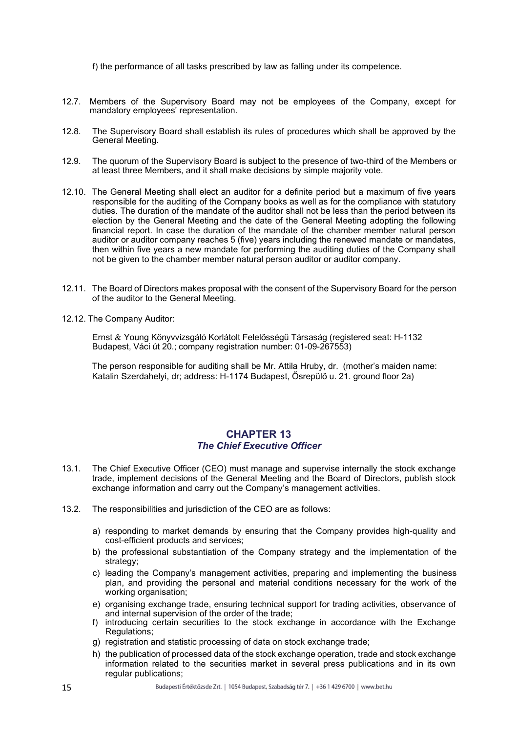f) the performance of all tasks prescribed by law as falling under its competence.

- 12.7. Members of the Supervisory Board may not be employees of the Company, except for mandatory employees' representation.
- 12.8. The Supervisory Board shall establish its rules of procedures which shall be approved by the General Meeting.
- 12.9. The quorum of the Supervisory Board is subject to the presence of two-third of the Members or at least three Members, and it shall make decisions by simple majority vote.
- 12.10. The General Meeting shall elect an auditor for a definite period but a maximum of five years responsible for the auditing of the Company books as well as for the compliance with statutory duties. The duration of the mandate of the auditor shall not be less than the period between its election by the General Meeting and the date of the General Meeting adopting the following financial report. In case the duration of the mandate of the chamber member natural person auditor or auditor company reaches 5 (five) years including the renewed mandate or mandates, then within five years a new mandate for performing the auditing duties of the Company shall not be given to the chamber member natural person auditor or auditor company.
- 12.11. The Board of Directors makes proposal with the consent of the Supervisory Board for the person of the auditor to the General Meeting.
- 12.12. The Company Auditor:

Ernst Young Könyvvizsgáló Korlátolt Felelősségű Társaság (registered seat: H-1132 Budapest, Váci út 20.; company registration number: 01-09-267553)

The person responsible for auditing shall be Mr. Attila Hruby, dr. (mother's maiden name: Katalin Szerdahelyi, dr; address: H-1174 Budapest, Ősrepülő u. 21. ground floor 2a)

## CHAPTER 13 The Chief Executive Officer

- 13.1. The Chief Executive Officer (CEO) must manage and supervise internally the stock exchange trade, implement decisions of the General Meeting and the Board of Directors, publish stock exchange information and carry out the Company's management activities.
- 13.2. The responsibilities and jurisdiction of the CEO are as follows:
	- a) responding to market demands by ensuring that the Company provides high-quality and cost-efficient products and services;
	- b) the professional substantiation of the Company strategy and the implementation of the strategy;
	- c) leading the Company's management activities, preparing and implementing the business plan, and providing the personal and material conditions necessary for the work of the working organisation;
	- e) organising exchange trade, ensuring technical support for trading activities, observance of and internal supervision of the order of the trade;
	- f) introducing certain securities to the stock exchange in accordance with the Exchange Regulations;
	- g) registration and statistic processing of data on stock exchange trade;
	- h) the publication of processed data of the stock exchange operation, trade and stock exchange information related to the securities market in several press publications and in its own regular publications;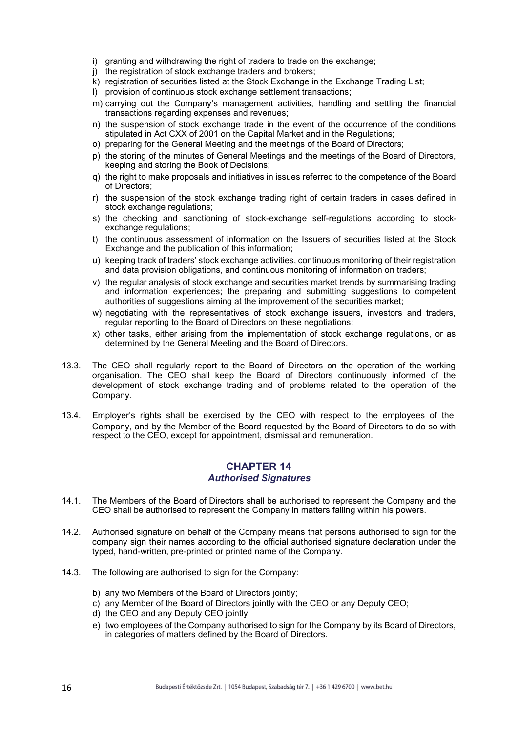- i) granting and withdrawing the right of traders to trade on the exchange;
- j) the registration of stock exchange traders and brokers;
- k) registration of securities listed at the Stock Exchange in the Exchange Trading List;
- l) provision of continuous stock exchange settlement transactions;
- m) carrying out the Company's management activities, handling and settling the financial transactions regarding expenses and revenues;
- n) the suspension of stock exchange trade in the event of the occurrence of the conditions stipulated in Act CXX of 2001 on the Capital Market and in the Regulations;
- o) preparing for the General Meeting and the meetings of the Board of Directors;
- p) the storing of the minutes of General Meetings and the meetings of the Board of Directors, keeping and storing the Book of Decisions;
- q) the right to make proposals and initiatives in issues referred to the competence of the Board of Directors;
- r) the suspension of the stock exchange trading right of certain traders in cases defined in stock exchange regulations;
- s) the checking and sanctioning of stock-exchange self-regulations according to stockexchange regulations;
- t) the continuous assessment of information on the Issuers of securities listed at the Stock Exchange and the publication of this information;
- u) keeping track of traders' stock exchange activities, continuous monitoring of their registration and data provision obligations, and continuous monitoring of information on traders;
- v) the regular analysis of stock exchange and securities market trends by summarising trading and information experiences; the preparing and submitting suggestions to competent authorities of suggestions aiming at the improvement of the securities market;
- w) negotiating with the representatives of stock exchange issuers, investors and traders, regular reporting to the Board of Directors on these negotiations;
- x) other tasks, either arising from the implementation of stock exchange regulations, or as determined by the General Meeting and the Board of Directors.
- 13.3. The CEO shall regularly report to the Board of Directors on the operation of the working organisation. The CEO shall keep the Board of Directors continuously informed of the development of stock exchange trading and of problems related to the operation of the Company.
- 13.4. Employer's rights shall be exercised by the CEO with respect to the employees of the Company, and by the Member of the Board requested by the Board of Directors to do so with respect to the CEO, except for appointment, dismissal and remuneration.

# CHAPTER 14 Authorised Signatures

- 14.1. The Members of the Board of Directors shall be authorised to represent the Company and the CEO shall be authorised to represent the Company in matters falling within his powers.
- 14.2. Authorised signature on behalf of the Company means that persons authorised to sign for the company sign their names according to the official authorised signature declaration under the typed, hand-written, pre-printed or printed name of the Company.
- 14.3. The following are authorised to sign for the Company:
	- b) any two Members of the Board of Directors jointly;
	- c) any Member of the Board of Directors jointly with the CEO or any Deputy CEO;
	- d) the CEO and any Deputy CEO jointly;
	- e) two employees of the Company authorised to sign for the Company by its Board of Directors, in categories of matters defined by the Board of Directors.